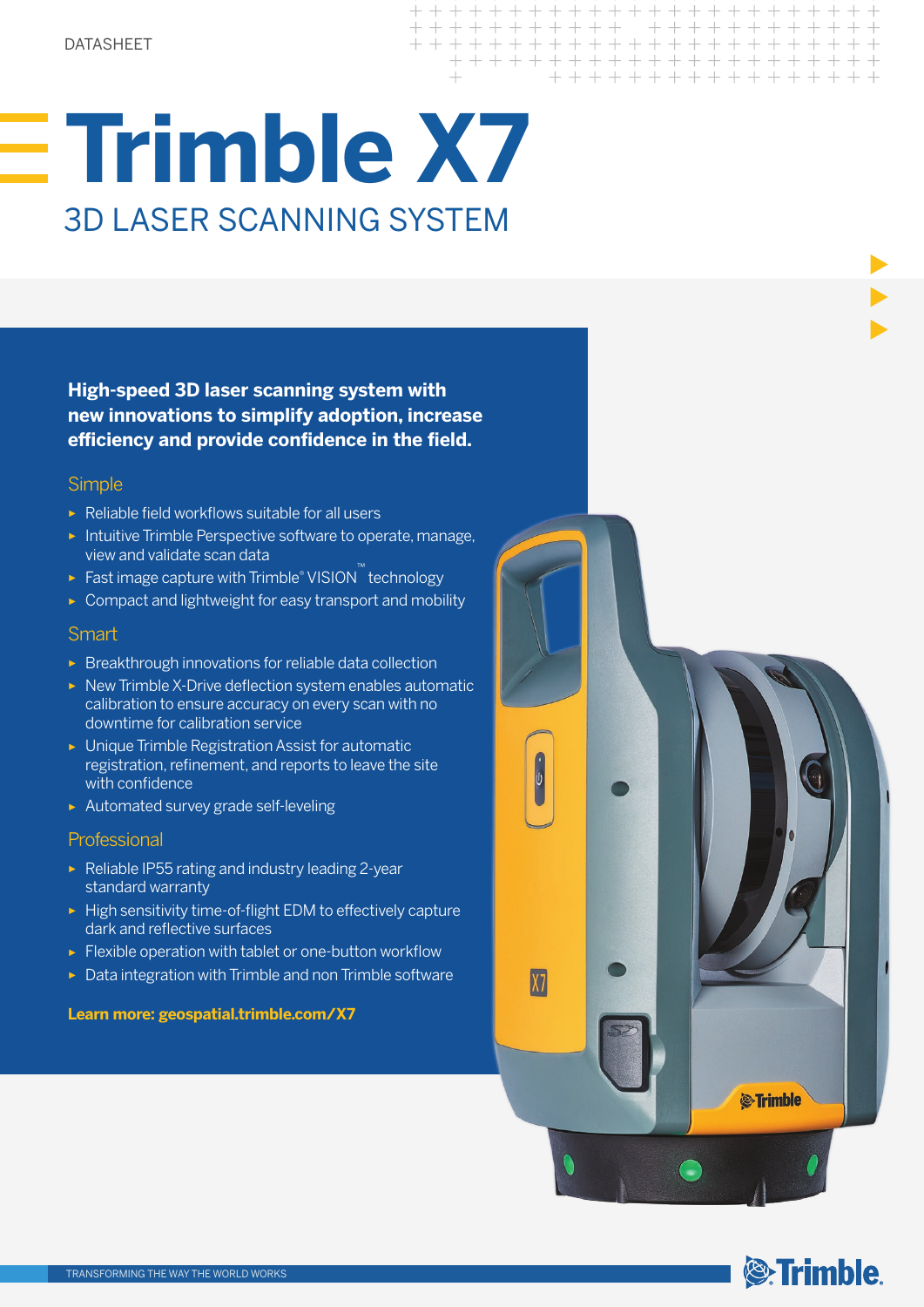# **Trimble X7** 3D LASER SCANNING SYSTEM

+ + + + + + + +

+ + + + + + + + + +

+ + + + + + + + + + + + + + + +

 $\pm$ 

**High-speed 3D laser scanning system with new innovations to simplify adoption, increase efficiency and provide confidence in the field.**

## **Simple**

- ► Reliable field workflows suitable for all users
- ► Intuitive Trimble Perspective software to operate, manage, view and validate scan data
- ► Fast image capture with Trimble® VISION™ technology
- ► Compact and lightweight for easy transport and mobility

### **Smart**

- ► Breakthrough innovations for reliable data collection
- ► New Trimble X-Drive deflection system enables automatic calibration to ensure accuracy on every scan with no downtime for calibration service
- ► Unique Trimble Registration Assist for automatic registration, refinement, and reports to leave the site with confidence
- ► Automated survey grade self-leveling

### **Professional**

- ► Reliable IP55 rating and industry leading 2-year standard warranty
- ► High sensitivity time-of-flight EDM to effectively capture dark and reflective surfaces
- ► Flexible operation with tablet or one-button workflow
- ► Data integration with Trimble and non Trimble software

### **Learn more: geospatial.trimble.com/X7**



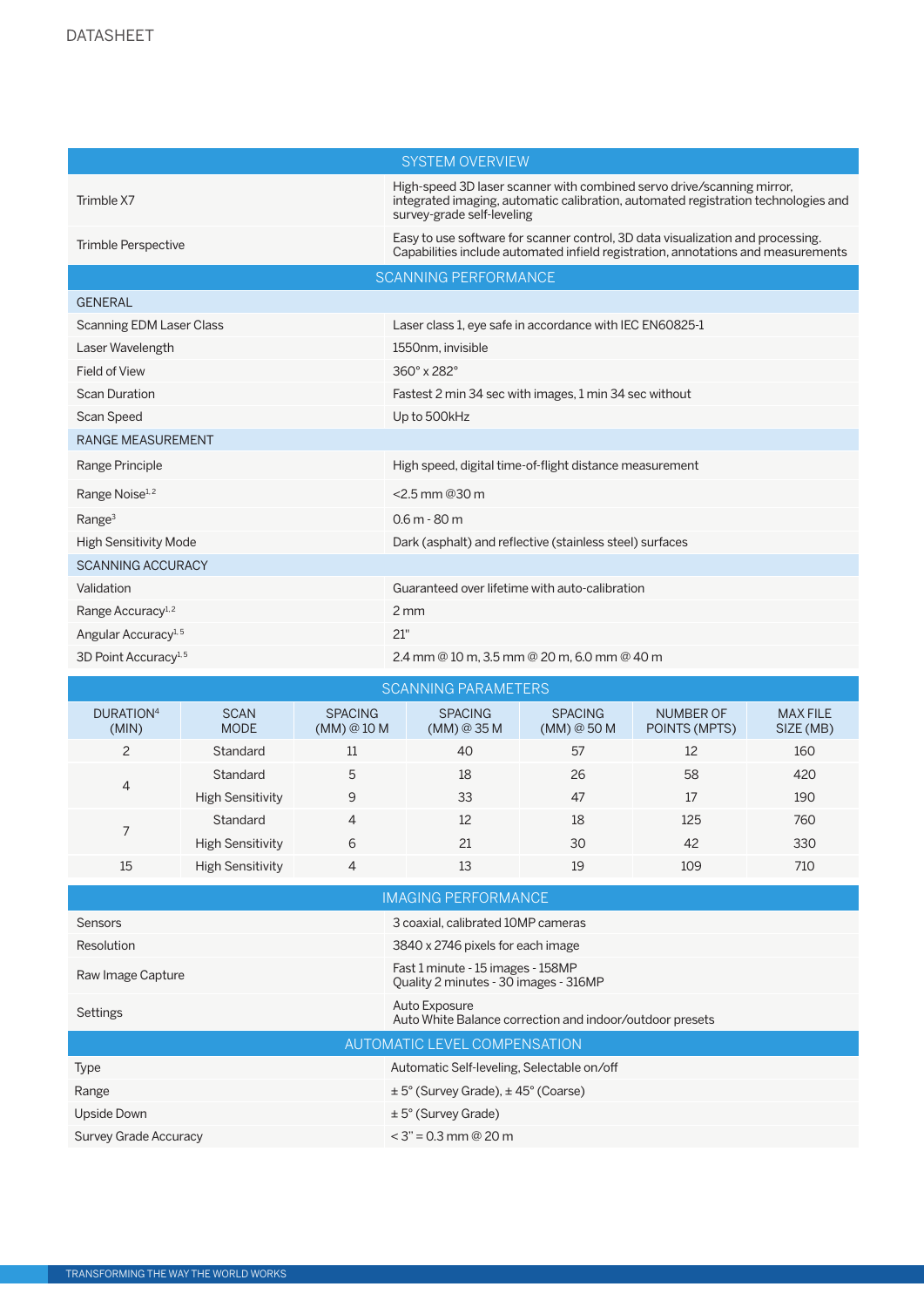| <b>SYSTEM OVERVIEW</b>           |                            |                               |                                                                                                                                                                                            |                               |                                   |                              |  |
|----------------------------------|----------------------------|-------------------------------|--------------------------------------------------------------------------------------------------------------------------------------------------------------------------------------------|-------------------------------|-----------------------------------|------------------------------|--|
| Trimble X7                       |                            |                               | High-speed 3D laser scanner with combined servo drive/scanning mirror,<br>integrated imaging, automatic calibration, automated registration technologies and<br>survey-grade self-leveling |                               |                                   |                              |  |
| Trimble Perspective              |                            |                               | Easy to use software for scanner control, 3D data visualization and processing.<br>Capabilities include automated infield registration, annotations and measurements                       |                               |                                   |                              |  |
| <b>SCANNING PERFORMANCE</b>      |                            |                               |                                                                                                                                                                                            |                               |                                   |                              |  |
| <b>GENERAL</b>                   |                            |                               |                                                                                                                                                                                            |                               |                                   |                              |  |
| <b>Scanning EDM Laser Class</b>  |                            |                               | Laser class 1, eye safe in accordance with IEC EN60825-1                                                                                                                                   |                               |                                   |                              |  |
| Laser Wavelength                 |                            |                               | 1550nm, invisible                                                                                                                                                                          |                               |                                   |                              |  |
| <b>Field of View</b>             |                            |                               | 360° x 282°                                                                                                                                                                                |                               |                                   |                              |  |
| <b>Scan Duration</b>             |                            |                               | Fastest 2 min 34 sec with images, 1 min 34 sec without                                                                                                                                     |                               |                                   |                              |  |
| Scan Speed                       |                            |                               | Up to 500kHz                                                                                                                                                                               |                               |                                   |                              |  |
| <b>RANGE MEASUREMENT</b>         |                            |                               |                                                                                                                                                                                            |                               |                                   |                              |  |
| Range Principle                  |                            |                               | High speed, digital time-of-flight distance measurement                                                                                                                                    |                               |                                   |                              |  |
| Range Noise <sup>1, 2</sup>      |                            |                               | $<$ 2.5 mm @ 30 m                                                                                                                                                                          |                               |                                   |                              |  |
| Range <sup>3</sup>               |                            |                               | $0.6 m - 80 m$                                                                                                                                                                             |                               |                                   |                              |  |
| <b>High Sensitivity Mode</b>     |                            |                               | Dark (asphalt) and reflective (stainless steel) surfaces                                                                                                                                   |                               |                                   |                              |  |
| <b>SCANNING ACCURACY</b>         |                            |                               |                                                                                                                                                                                            |                               |                                   |                              |  |
| Validation                       |                            |                               | Guaranteed over lifetime with auto-calibration                                                                                                                                             |                               |                                   |                              |  |
| Range Accuracy <sup>1,2</sup>    |                            |                               | $2 \, \text{mm}$                                                                                                                                                                           |                               |                                   |                              |  |
| Angular Accuracy <sup>1,5</sup>  |                            |                               | 21"                                                                                                                                                                                        |                               |                                   |                              |  |
| 3D Point Accuracy <sup>1,5</sup> |                            |                               | 2.4 mm @ 10 m, 3.5 mm @ 20 m, 6.0 mm @ 40 m                                                                                                                                                |                               |                                   |                              |  |
| <b>SCANNING PARAMETERS</b>       |                            |                               |                                                                                                                                                                                            |                               |                                   |                              |  |
| <b>DURATION4</b><br>(MIN)        | <b>SCAN</b><br><b>MODE</b> | <b>SPACING</b><br>(MM) @ 10 M | <b>SPACING</b><br>(MM) @ 35 M                                                                                                                                                              | <b>SPACING</b><br>(MM) @ 50 M | <b>NUMBER OF</b><br>POINTS (MPTS) | <b>MAX FILE</b><br>SIZE (MB) |  |
| $\overline{c}$                   | Standard                   | 11                            | 40                                                                                                                                                                                         | 57                            | 12                                | 160                          |  |
| 4                                | Standard                   | 5                             | 18                                                                                                                                                                                         | 26                            | 58                                | 420                          |  |
|                                  | <b>High Sensitivity</b>    | 9                             | 33                                                                                                                                                                                         | 47                            | 17                                | 190                          |  |
|                                  | Standard                   | 4                             | 12                                                                                                                                                                                         | 18                            | 125                               | 760                          |  |

| <b>IMAGING PERFORMANCE</b>   |                                                                            |  |  |  |
|------------------------------|----------------------------------------------------------------------------|--|--|--|
| <b>Sensors</b>               | 3 coaxial, calibrated 10MP cameras                                         |  |  |  |
| Resolution                   | 3840 x 2746 pixels for each image                                          |  |  |  |
| Raw Image Capture            | Fast 1 minute - 15 images - 158MP<br>Quality 2 minutes - 30 images - 316MP |  |  |  |
| Settings                     | Auto Exposure<br>Auto White Balance correction and indoor/outdoor presets  |  |  |  |
| AUTOMATIC LEVEL COMPENSATION |                                                                            |  |  |  |
| <b>Type</b>                  | Automatic Self-leveling, Selectable on/off                                 |  |  |  |
| Range                        | $\pm$ 5° (Survey Grade), $\pm$ 45° (Coarse)                                |  |  |  |
| Upside Down                  | $\pm$ 5° (Survey Grade)                                                    |  |  |  |
| <b>Survey Grade Accuracy</b> | $<$ 3" = 0.3 mm @ 20 m                                                     |  |  |  |

15 High Sensitivity 14 13 19 109 710

High Sensitivity 6 21 30 42 330

7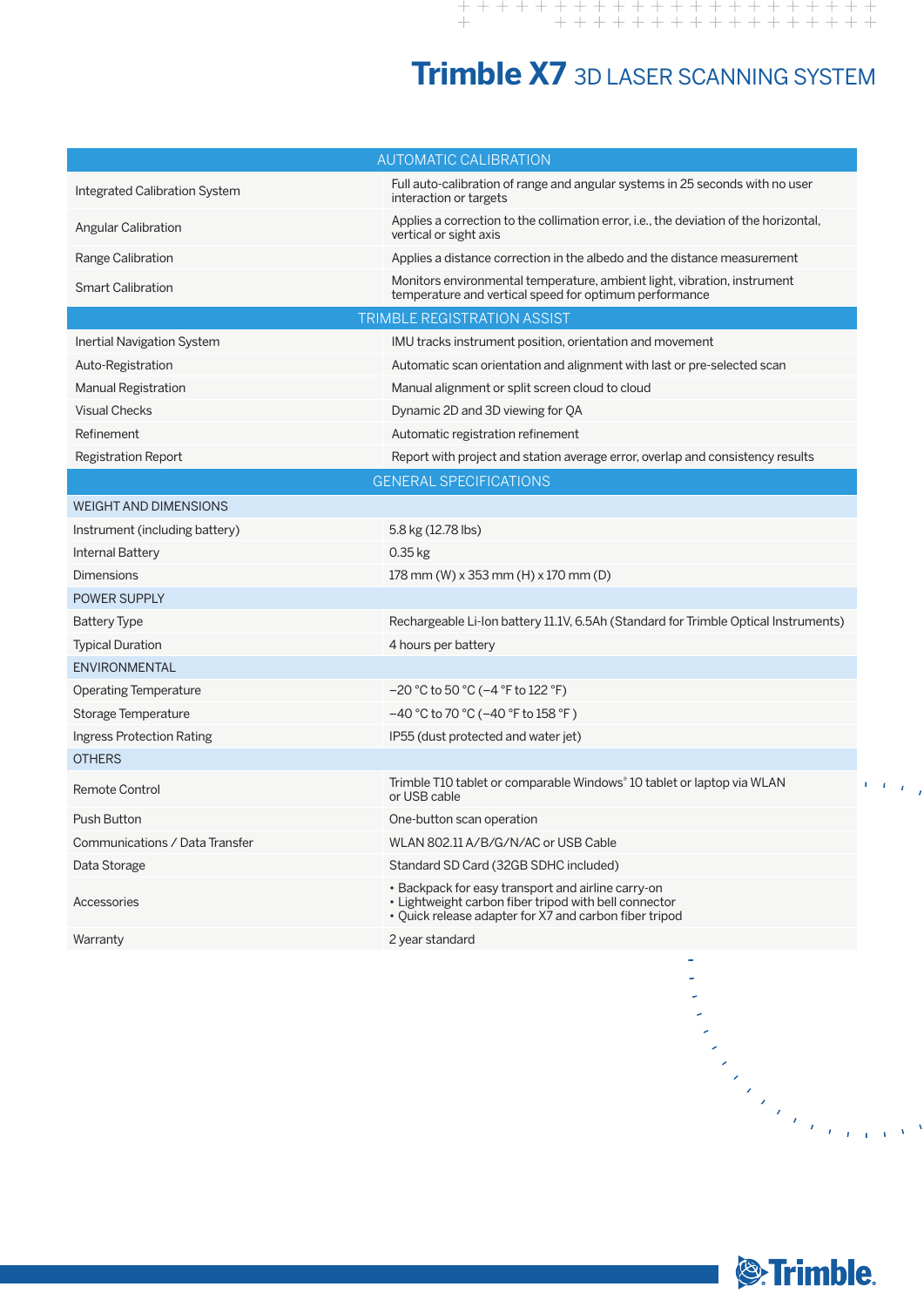# **Trimble X7** 3D LASER SCANNING SYSTEM

|                                | <b>AUTOMATIC CALIBRATION</b>                                                                                                                                          |
|--------------------------------|-----------------------------------------------------------------------------------------------------------------------------------------------------------------------|
| Integrated Calibration System  | Full auto-calibration of range and angular systems in 25 seconds with no user<br>interaction or targets                                                               |
| <b>Angular Calibration</b>     | Applies a correction to the collimation error, i.e., the deviation of the horizontal,<br>vertical or sight axis                                                       |
| Range Calibration              | Applies a distance correction in the albedo and the distance measurement                                                                                              |
| <b>Smart Calibration</b>       | Monitors environmental temperature, ambient light, vibration, instrument<br>temperature and vertical speed for optimum performance                                    |
|                                | TRIMBLE REGISTRATION ASSIST                                                                                                                                           |
| Inertial Navigation System     | IMU tracks instrument position, orientation and movement                                                                                                              |
| Auto-Registration              | Automatic scan orientation and alignment with last or pre-selected scan                                                                                               |
| <b>Manual Registration</b>     | Manual alignment or split screen cloud to cloud                                                                                                                       |
| <b>Visual Checks</b>           | Dynamic 2D and 3D viewing for QA                                                                                                                                      |
| Refinement                     | Automatic registration refinement                                                                                                                                     |
| Registration Report            | Report with project and station average error, overlap and consistency results                                                                                        |
|                                | <b>GENERAL SPECIFICATIONS</b>                                                                                                                                         |
| <b>WEIGHT AND DIMENSIONS</b>   |                                                                                                                                                                       |
| Instrument (including battery) | 5.8 kg (12.78 lbs)                                                                                                                                                    |
| Internal Battery               | 0.35 kg                                                                                                                                                               |
| Dimensions                     | 178 mm (W) x 353 mm (H) x 170 mm (D)                                                                                                                                  |
| <b>POWER SUPPLY</b>            |                                                                                                                                                                       |
| <b>Battery Type</b>            | Rechargeable Li-Ion battery 11.1V, 6.5Ah (Standard for Trimble Optical Instruments)                                                                                   |
| <b>Typical Duration</b>        | 4 hours per battery                                                                                                                                                   |
| <b>ENVIRONMENTAL</b>           |                                                                                                                                                                       |
| <b>Operating Temperature</b>   | $-20$ °C to 50 °C ( $-4$ °F to 122 °F)                                                                                                                                |
| Storage Temperature            | $-40$ °C to 70 °C ( $-40$ °F to 158 °F)                                                                                                                               |
| Ingress Protection Rating      | IP55 (dust protected and water jet)                                                                                                                                   |
| <b>OTHERS</b>                  |                                                                                                                                                                       |
| Remote Control                 | Trimble T10 tablet or comparable Windows® 10 tablet or laptop via WLAN<br>or USB cable                                                                                |
| Push Button                    | One-button scan operation                                                                                                                                             |
| Communications / Data Transfer | WLAN 802.11 A/B/G/N/AC or USB Cable                                                                                                                                   |
| Data Storage                   | Standard SD Card (32GB SDHC included)                                                                                                                                 |
| Accessories                    | • Backpack for easy transport and airline carry-on<br>• Lightweight carbon fiber tripod with bell connector<br>• Quick release adapter for X7 and carbon fiber tripod |
| Warranty                       | 2 year standard                                                                                                                                                       |
|                                |                                                                                                                                                                       |
|                                | ta<br>Maria ya mwaka                                                                                                                                                  |
|                                |                                                                                                                                                                       |